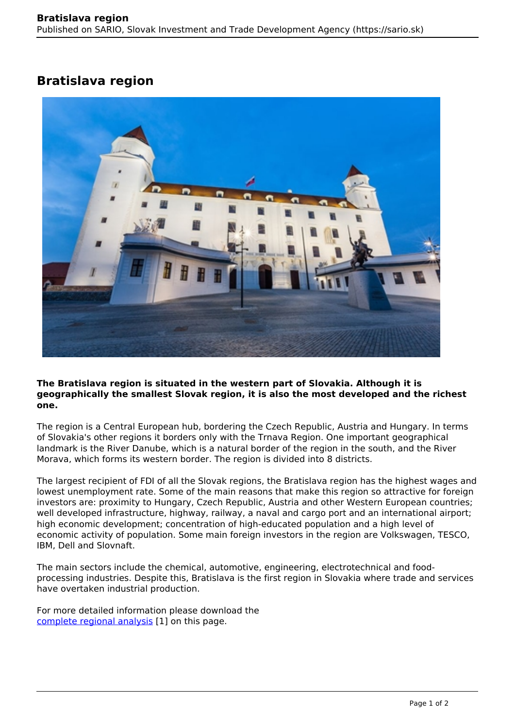## **Bratislava region**



## **The Bratislava region is situated in the western part of Slovakia. Although it is geographically the smallest Slovak region, it is also the most developed and the richest one.**

The region is a Central European hub, bordering the Czech Republic, Austria and Hungary. In terms of Slovakia's other regions it borders only with the Trnava Region. One important geographical landmark is the River Danube, which is a natural border of the region in the south, and the River Morava, which forms its western border. The region is divided into 8 districts.

The largest recipient of FDI of all the Slovak regions, the Bratislava region has the highest wages and lowest unemployment rate. Some of the main reasons that make this region so attractive for foreign investors are: proximity to Hungary, Czech Republic, Austria and other Western European countries; well developed infrastructure, highway, railway, a naval and cargo port and an international airport; high economic development; concentration of high-educated population and a high level of economic activity of population. Some main foreign investors in the region are Volkswagen, TESCO, IBM, Dell and Slovnaft.

The main sectors include the chemical, automotive, engineering, electrotechnical and foodprocessing industries. Despite this, Bratislava is the first region in Slovakia where trade and services have overtaken industrial production.

For more detailed information please download the [complete regional analysis](https://www.sario.sk/sites/default/files/content/files/Bratislava%20Region.pdf) [1] on this page.